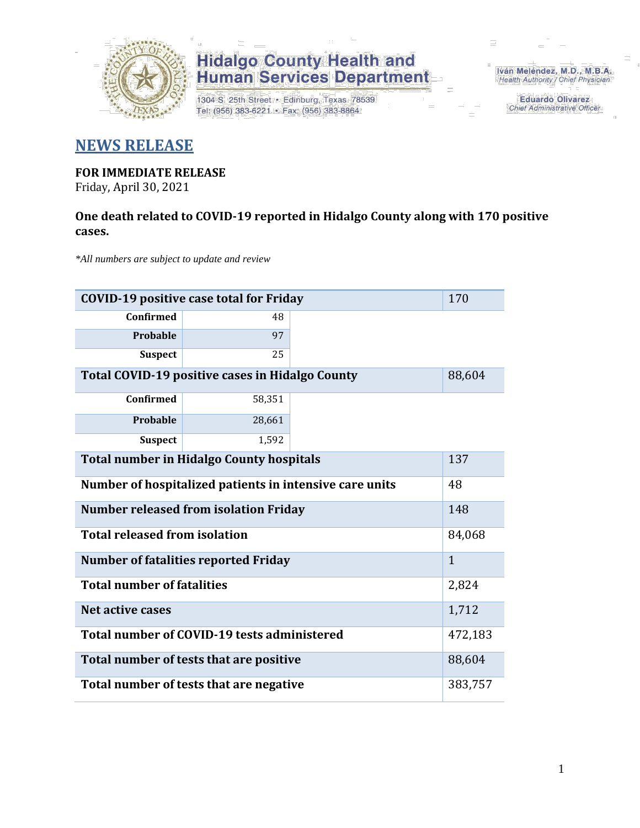

1304 S. 25th Street · Edinburg, Texas 78539 Tel: (956) 383-6221 · Fax: (956) 383-8864

Iván Meléndez, M.D., M.B.A. Health Authority / Chief Physician

> **Eduardo Olivarez** Chief Administrative Officer

#### **NEWS RELEASE**

### **FOR IMMEDIATE RELEASE**

Friday, April 30, 2021

#### **One death related to COVID-19 reported in Hidalgo County along with 170 positive cases.**

*\*All numbers are subject to update and review*

| <b>COVID-19 positive case total for Friday</b>          |              |  |  |  |  |
|---------------------------------------------------------|--------------|--|--|--|--|
| Confirmed                                               | 48           |  |  |  |  |
| Probable                                                | 97           |  |  |  |  |
| <b>Suspect</b>                                          | 25           |  |  |  |  |
| Total COVID-19 positive cases in Hidalgo County         | 88,604       |  |  |  |  |
| <b>Confirmed</b>                                        | 58,351       |  |  |  |  |
| <b>Probable</b>                                         | 28,661       |  |  |  |  |
| <b>Suspect</b>                                          | 1,592        |  |  |  |  |
| <b>Total number in Hidalgo County hospitals</b>         |              |  |  |  |  |
| Number of hospitalized patients in intensive care units | 48           |  |  |  |  |
| <b>Number released from isolation Friday</b>            |              |  |  |  |  |
| <b>Total released from isolation</b>                    | 84,068       |  |  |  |  |
| <b>Number of fatalities reported Friday</b>             | $\mathbf{1}$ |  |  |  |  |
| <b>Total number of fatalities</b>                       | 2,824        |  |  |  |  |
| <b>Net active cases</b>                                 | 1,712        |  |  |  |  |
| Total number of COVID-19 tests administered             | 472,183      |  |  |  |  |
| Total number of tests that are positive                 | 88,604       |  |  |  |  |
| Total number of tests that are negative                 | 383,757      |  |  |  |  |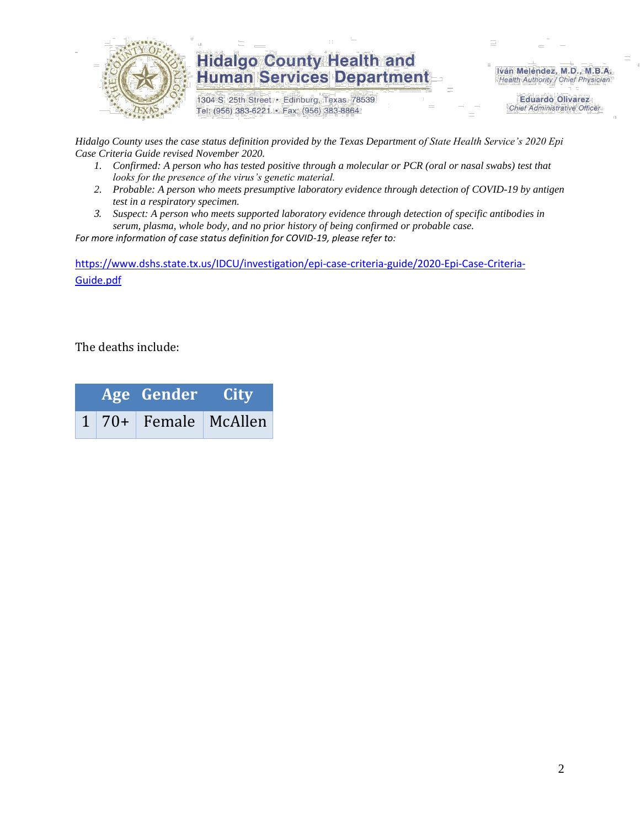

1304 S. 25th Street · Edinburg, Texas 78539 Tel: (956) 383-6221 · Fax: (956) 383-8864

Iván Meléndez, M.D., M.B.A. Health Authority / Chief Physician

> **Eduardo Olivarez Chief Administrative Officer**

*Hidalgo County uses the case status definition provided by the Texas Department of State Health Service's 2020 Epi Case Criteria Guide revised November 2020.*

- *1. Confirmed: A person who has tested positive through a molecular or PCR (oral or nasal swabs) test that looks for the presence of the virus's genetic material.*
- *2. Probable: A person who meets presumptive laboratory evidence through detection of COVID-19 by antigen test in a respiratory specimen.*
- *3. Suspect: A person who meets supported laboratory evidence through detection of specific antibodies in serum, plasma, whole body, and no prior history of being confirmed or probable case.*

*For more information of case status definition for COVID-19, please refer to:*

[https://www.dshs.state.tx.us/IDCU/investigation/epi-case-criteria-guide/2020-Epi-Case-Criteria-](https://www.dshs.state.tx.us/IDCU/investigation/epi-case-criteria-guide/2020-Epi-Case-Criteria-Guide.pdf)[Guide.pdf](https://www.dshs.state.tx.us/IDCU/investigation/epi-case-criteria-guide/2020-Epi-Case-Criteria-Guide.pdf)

The deaths include:

|  | Age Gender City |                      |  |  |
|--|-----------------|----------------------|--|--|
|  |                 | 1 70+ Female McAllen |  |  |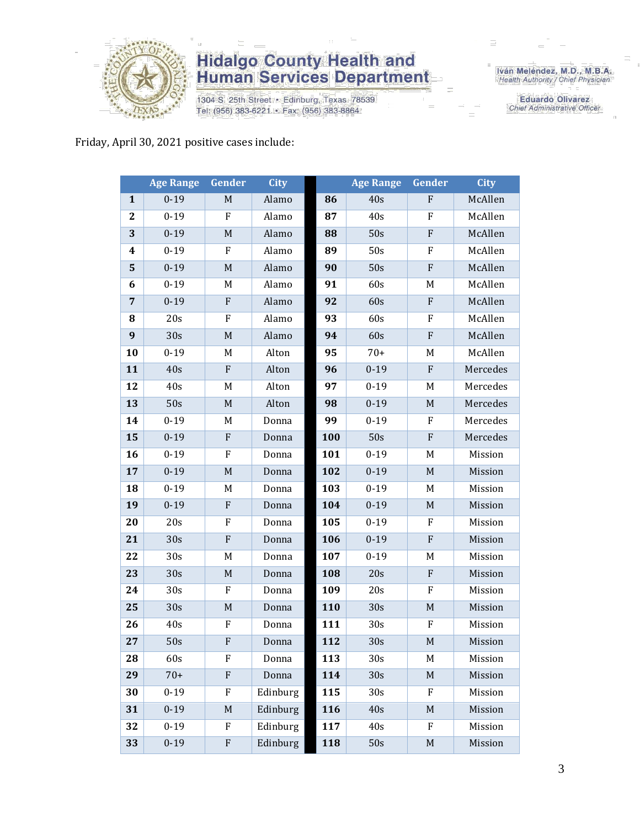

1304 S. 25th Street · Edinburg, Texas 78539 Tel: (956) 383-6221 · Fax: (956) 383-8864

Iván Meléndez, M.D., M.B.A.<br>Health Authority / Chief Physician

**Eduardo Olivarez** Chief Administrative Officer

Friday, April 30, 2021 positive cases include:

|                | <b>Age Range</b> | Gender       | <b>City</b> |     | <b>Age Range</b> | Gender       | City     |
|----------------|------------------|--------------|-------------|-----|------------------|--------------|----------|
| $\mathbf{1}$   | $0 - 19$         | M            | Alamo       | 86  | 40s              | $\mathbf F$  | McAllen  |
| $\mathbf{2}$   | $0 - 19$         | F            | Alamo       | 87  | 40s              | F            | McAllen  |
| 3              | $0 - 19$         | $\mathbf M$  | Alamo       | 88  | 50s              | ${\bf F}$    | McAllen  |
| 4              | $0 - 19$         | F            | Alamo       | 89  | 50s              | F            | McAllen  |
| 5              | $0 - 19$         | M            | Alamo       | 90  | 50s              | ${\bf F}$    | McAllen  |
| 6              | $0 - 19$         | M            | Alamo       | 91  | 60s              | M            | McAllen  |
| $\overline{7}$ | $0 - 19$         | ${\bf F}$    | Alamo       | 92  | 60s              | ${\bf F}$    | McAllen  |
| 8              | 20s              | F            | Alamo       | 93  | 60s              | F            | McAllen  |
| 9              | 30s              | $\mathbf M$  | Alamo       | 94  | 60s              | ${\bf F}$    | McAllen  |
| 10             | $0 - 19$         | M            | Alton       | 95  | $70+$            | M            | McAllen  |
| 11             | 40s              | $\mathbf{F}$ | Alton       | 96  | $0 - 19$         | $\mathbf{F}$ | Mercedes |
| 12             | 40s              | M            | Alton       | 97  | $0 - 19$         | M            | Mercedes |
| 13             | 50s              | $\mathbf M$  | Alton       | 98  | $0 - 19$         | $\mathbf M$  | Mercedes |
| 14             | $0 - 19$         | M            | Donna       | 99  | $0 - 19$         | F            | Mercedes |
| 15             | $0 - 19$         | $\mathbf F$  | Donna       | 100 | 50s              | ${\bf F}$    | Mercedes |
| 16             | $0 - 19$         | $\mathbf F$  | Donna       | 101 | $0 - 19$         | M            | Mission  |
| 17             | $0 - 19$         | M            | Donna       | 102 | $0 - 19$         | $\mathbf M$  | Mission  |
| 18             | $0 - 19$         | M            | Donna       | 103 | $0 - 19$         | M            | Mission  |
| 19             | $0 - 19$         | ${\bf F}$    | Donna       | 104 | $0 - 19$         | M            | Mission  |
| 20             | 20s              | F            | Donna       | 105 | $0 - 19$         | F            | Mission  |
| 21             | 30s              | ${\bf F}$    | Donna       | 106 | $0 - 19$         | ${\bf F}$    | Mission  |
| 22             | 30s              | M            | Donna       | 107 | $0 - 19$         | M            | Mission  |
| 23             | 30s              | $\mathbf M$  | Donna       | 108 | 20s              | ${\bf F}$    | Mission  |
| 24             | 30s              | F            | Donna       | 109 | 20s              | F            | Mission  |
| 25             | 30s              | $\mathbf M$  | Donna       | 110 | 30s              | $M_{\rm}$    | Mission  |
| 26             | 40s              | $\rm F$      | Donna       | 111 | 30s              | ${\bf F}$    | Mission  |
| 27             | 50s              | F            | Donna       | 112 | 30s              | $\mathbf M$  | Mission  |
| 28             | 60s              | F            | Donna       | 113 | 30 <sub>s</sub>  | M            | Mission  |
| 29             | $70+$            | $\mathbf F$  | Donna       | 114 | 30s              | M            | Mission  |
| 30             | $0 - 19$         | F            | Edinburg    | 115 | 30s              | F            | Mission  |
| 31             | $0 - 19$         | M            | Edinburg    | 116 | 40s              | M            | Mission  |
| 32             | $0 - 19$         | F            | Edinburg    | 117 | 40s              | F            | Mission  |
| 33             | $0 - 19$         | ${\bf F}$    | Edinburg    | 118 | 50s              | $\mathbf M$  | Mission  |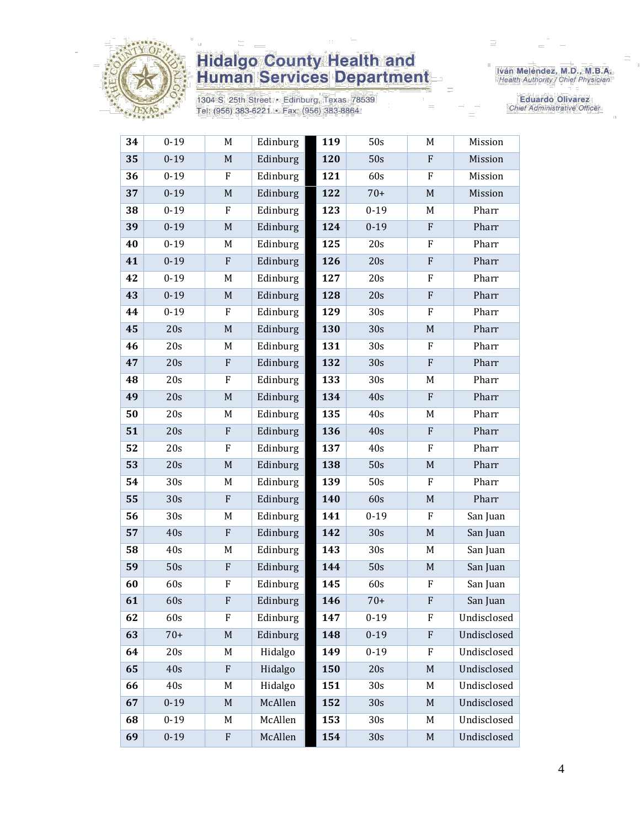

1304 S. 25th Street • Edinburg, Texas 78539<br>Tel: (956) 383-6221 • Fax: (956) 383-8864

Iván Meléndez, M.D., M.B.A.<br>Health Authority / Chief Physician

Eduardo Olivarez Chief Administrative Officer

| 34 | $0 - 19$ | M           | Edinburg | 119 | 50s             | M                         | Mission     |
|----|----------|-------------|----------|-----|-----------------|---------------------------|-------------|
| 35 | $0 - 19$ | $\mathbf M$ | Edinburg | 120 | 50s             | ${\bf F}$                 | Mission     |
| 36 | $0 - 19$ | ${\bf F}$   | Edinburg | 121 | 60s             | ${\bf F}$                 | Mission     |
| 37 | $0 - 19$ | $\mathbf M$ | Edinburg | 122 | $70+$           | $\mathbf M$               | Mission     |
| 38 | $0 - 19$ | $\rm F$     | Edinburg | 123 | $0 - 19$        | M                         | Pharr       |
| 39 | $0 - 19$ | M           | Edinburg | 124 | $0 - 19$        | $\boldsymbol{\mathrm{F}}$ | Pharr       |
| 40 | $0 - 19$ | M           | Edinburg | 125 | 20s             | ${\rm F}$                 | Pharr       |
| 41 | $0 - 19$ | ${\bf F}$   | Edinburg | 126 | 20s             | ${\bf F}$                 | Pharr       |
| 42 | $0 - 19$ | M           | Edinburg | 127 | 20s             | F                         | Pharr       |
| 43 | $0 - 19$ | $\mathbf M$ | Edinburg | 128 | 20s             | ${\bf F}$                 | Pharr       |
| 44 | $0 - 19$ | $\rm F$     | Edinburg | 129 | 30 <sub>s</sub> | F                         | Pharr       |
| 45 | 20s      | $\mathbf M$ | Edinburg | 130 | 30s             | $\mathbf M$               | Pharr       |
| 46 | 20s      | M           | Edinburg | 131 | 30s             | $\boldsymbol{\mathrm{F}}$ | Pharr       |
| 47 | 20s      | ${\bf F}$   | Edinburg | 132 | 30s             | ${\bf F}$                 | Pharr       |
| 48 | 20s      | $\rm F$     | Edinburg | 133 | 30s             | M                         | Pharr       |
| 49 | 20s      | $\mathbf M$ | Edinburg | 134 | 40s             | ${\bf F}$                 | Pharr       |
| 50 | 20s      | M           | Edinburg | 135 | 40s             | M                         | Pharr       |
| 51 | 20s      | ${\bf F}$   | Edinburg | 136 | 40s             | ${\bf F}$                 | Pharr       |
| 52 | 20s      | $\rm F$     | Edinburg | 137 | 40s             | F                         | Pharr       |
| 53 | 20s      | M           | Edinburg | 138 | 50s             | $\mathbf M$               | Pharr       |
| 54 | 30s      | M           | Edinburg | 139 | 50s             | F                         | Pharr       |
| 55 | 30s      | ${\bf F}$   | Edinburg | 140 | 60s             | $\mathbf M$               | Pharr       |
| 56 | 30s      | M           | Edinburg | 141 | $0 - 19$        | F                         | San Juan    |
| 57 | 40s      | ${\bf F}$   | Edinburg | 142 | 30s             | $\mathbf M$               | San Juan    |
| 58 | 40s      | M           | Edinburg | 143 | 30 <sub>s</sub> | M                         | San Juan    |
| 59 | 50s      | ${\bf F}$   | Edinburg | 144 | 50s             | $\mathbf M$               | San Juan    |
| 60 | 60s      | F           | Edinburg | 145 | 60s             | $\boldsymbol{\mathrm{F}}$ | San Juan    |
| 61 | 60s      | ${\bf F}$   | Edinburg | 146 | $70+$           | F                         | San Juan    |
| 62 | 60s      | F           | Edinburg | 147 | $0-19$          | F                         | Undisclosed |
| 63 | $70+$    | $\mathbf M$ | Edinburg | 148 | $0 - 19$        | ${\bf F}$                 | Undisclosed |
| 64 | 20s      | M           | Hidalgo  | 149 | $0 - 19$        | $\boldsymbol{\mathrm{F}}$ | Undisclosed |
| 65 | 40s      | ${\bf F}$   | Hidalgo  | 150 | 20s             | $\mathbf M$               | Undisclosed |
| 66 | 40s      | M           | Hidalgo  | 151 | 30 <sub>s</sub> | M                         | Undisclosed |
| 67 | $0 - 19$ | M           | McAllen  | 152 | 30s             | $\mathbf M$               | Undisclosed |
| 68 | $0 - 19$ | M           | McAllen  | 153 | 30s             | M                         | Undisclosed |
| 69 | $0 - 19$ | ${\bf F}$   | McAllen  | 154 | 30s             | $\mathbf M$               | Undisclosed |